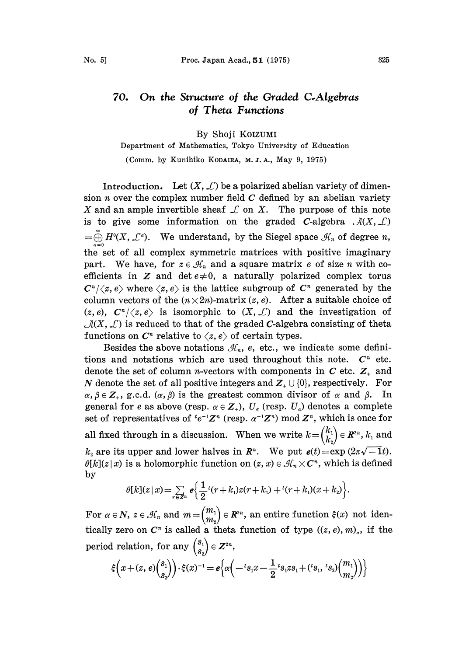## On the Structure of the Graded C.Algebras 70. of Theta Functions

By Shoji KOIZUMI

Department of Mathematics, Tokyo University of Education

(Comm. by Kunihiko KODAIRA, M. J. A., May 9, 1975)

Introduction. Let  $(X, \mathcal{L})$  be a polarized abelian variety of dimension *n* over the complex number field  $C$  defined by an abelian variety X and an ample invertible sheaf  $\mathcal L$  on X. The purpose of this note is to give some information on the graded C-algebra  $\mathcal{A}(X,\mathcal{L})$  $=\bigoplus_{n=1}^{\infty} H^{n}(X, \mathcal{L}^{\alpha}).$  We understand, by the Siegel space  $\mathcal{H}_{n}$  of degree n,  $\alpha = 0$ the set of all complex symmetric matrices with positive imaginary part. We have, for  $z \in \mathcal{H}_n$  and a square matrix e of size n with coefficients in Z and det  $e\neq 0$ , a naturally polarized complex torus  $C^n/\langle z, e \rangle$  where  $\langle z, e \rangle$  is the lattice subgroup of  $C^n$  generated by the column vectors of the  $(n \times 2n)$ -matrix  $(z, e)$ . After a suitable choice of  $(z, e), C^{n}/\langle z, e \rangle$  is isomorphic to  $(X, \mathcal{L})$  and the investigation of  $\mathcal{A}(X, \mathcal{L})$  is reduced to that of the graded C-algebra consisting of theta functions on  $C<sup>n</sup>$  relative to  $\langle z, e \rangle$  of certain types.

Besides the above notations  $\mathcal{H}_n$ , e, etc., we indicate some definitions and notations which are used throughout this note.  $C<sup>n</sup>$  etc. denote the set of column *n*-vectors with components in C etc.  $Z_{+}$  and N denote the set of all positive integers and  $Z_{+} \cup \{0\}$ , respectively. For  $\alpha, \beta \in \mathbb{Z}_+$ , g.c.d.  $(\alpha, \beta)$  is the greatest common divisor of  $\alpha$  and  $\beta$ . In general for e as above (resp.  $\alpha \in \mathbb{Z}_+$ ),  $U_e$  (resp.  $U_a$ ) denotes a complete set of representatives of  $te^{-1}Z^n$  (resp.  $\alpha^{-1}Z^n$ ) mod  $Z^n$ , which is once for all fixed through in a discussion. When we write  $k = \begin{pmatrix} k_1 \ k_2 \end{pmatrix} \in \mathbb{R}^{2n}$ ,  $k_1$  and  $k_2$  are its upper and lower halves in  $\mathbb{R}^n$ . We put  $e(t)=\exp(2\pi\sqrt{-1}t)$ .  $\theta[k](z|x)$  is a holomorphic function on  $(z, x) \in \mathcal{H}_n \times \mathbb{C}^n$ , which is defined by

$$
\theta[k](z|x) = \sum_{r \in \mathbb{Z}^n} e\left\{ \frac{1}{2} t(r+k_1) z(r+k_1) + t(r+k_1)(x+k_2) \right\}.
$$

For  $\alpha \in N$ ,  $z \in \mathcal{H}_n$  and  $m = \begin{pmatrix} m_1 \ m_2 \end{pmatrix} \in \mathbb{R}^{2n}$ , an entire function  $\xi(x)$  not identically zero on  $C<sup>n</sup>$  is called a theta function of type  $((z, e), m)_{a}$ , if the period relation, for any  $\begin{pmatrix} s_1 \\ s_2 \end{pmatrix} \in \mathbb{Z}^{2n}$ ,

$$
\xi\Big(x+(z,\,e)\binom{s_1}{s_2}\Big)\cdot\xi(x)^{-1}=\mathbf{e}\Big\{\alpha\Big(-{}^{t}s_{1}x-\frac{1}{2}{}^{t}s_{1}z s_{1}+({}^{t}s_{1},\,{}^{t}s_{2})\binom{m_1}{m_2}\Big)\Big\}
$$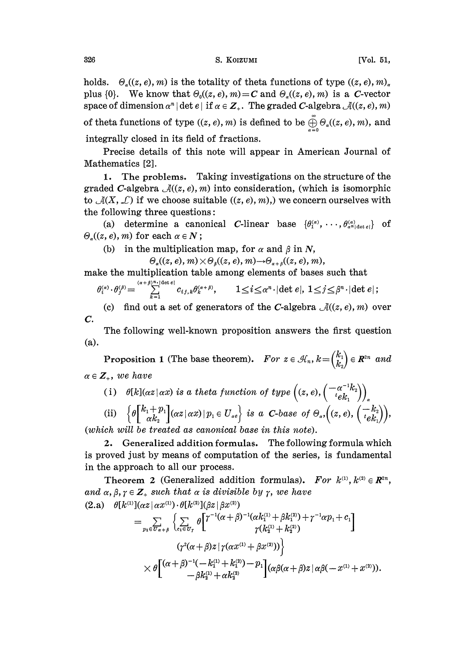holds.  $\Theta_{\alpha}((z, e), m)$  is the totality of theta functions of type  $((z, e), m)_{\alpha}$ plus  $\{0\}$ . We know that  $\Theta_0((z, e), m) = C$  and  $\Theta_a((z, e), m)$  is a C-vector space of dimension  $\alpha^n | \det e |$  if  $\alpha \in \mathbb{Z}_+$ . The graded C-algebra  $\mathcal{A}((z, e), m)$ of theta functions of type  $((z, e), m)$  is defined to be  $\bigoplus_{\alpha=0}^{\infty} \Theta_{\alpha}((z, e), m)$ , and integrally closed in its field of fractions.

Precise details of this note will appear in American Journal of Mathematics [2].

1. The problems. Taking investigations on the structure of the graded C-algebra  $\mathcal{A}((z, e), m)$  into consideration, (which is isomorphic to  $\mathcal{A}(X, \mathcal{L})$  if we choose suitable  $((z, e), m)$ , we concern ourselves with the following three questions:

(a) determine a canonical C-linear base  $\{\theta_1^{(\alpha)}, \cdots, \theta_{\alpha^n | \text{det } e_i}^{(\alpha)}\}$  of  $\Theta_{\alpha}((z, e), m)$  for each  $\alpha \in N$ ;

(b) in the multiplication map, for  $\alpha$  and  $\beta$  in N,

 $\Theta_{\alpha}((z, e), m) \times \Theta_{\beta}((z, e), m) \rightarrow \Theta_{\alpha + \beta}((z, e), m),$ 

make the multiplication table among elements of bases such that

$$
\theta_i^{(\alpha)} \cdot \theta_j^{(\beta)} = \sum_{k=1}^{(\alpha+\beta)^n \cdot |\det e|} c_{ij,k} \theta_k^{(\alpha+\beta)}, \qquad 1 \leq i \leq \alpha^n \cdot |\det e|, \ 1 \leq j \leq \beta^n \cdot |\det e|;
$$

(c) find out a set of generators of the C-algebra  $\mathcal{A}((z, e), m)$  over C.

(a). The following well-known proposition answers the first question

Proposition 1 (The base theorem). For  $z \in \mathcal{H}_n$ ,  $k = \begin{pmatrix} k_1 \ k_2 \end{pmatrix} \in \mathbb{R}^{2n}$  and  $\alpha \in \mathbb{Z}_+$ , we have

(i) 
$$
\theta[k](\alpha z | \alpha x)
$$
 is a theta function of type  $((z, e), \begin{pmatrix} -\alpha^{-1}k_2 \\ i e k_1 \end{pmatrix})_a$   
\n(ii)  $\{\theta\begin{bmatrix} k_1 + p_1 \\ \alpha k_2 \end{bmatrix} (\alpha z | \alpha x) | p_1 \in U_{ae} \}$  is a C-base of  $\Theta_a$ ,  $(z, e), \begin{pmatrix} -k_2 \\ i e k_1 \end{pmatrix}$ ,  
\n(which will be treated as canonical base in this note).

2. Generalized addition formulas. The following formula which is proved just by means of computation of the series, is fundamental in the approach to all our process.

Theorem 2 (Generalized addition formulas). For  $k^{(1)}$ ,  $k^{(2)} \in \mathbb{R}^{2n}$ , and  $\alpha, \beta, \gamma \in \mathbb{Z}_+$  such that  $\alpha$  is divisible by  $\gamma$ , we have (2.a)  $\theta[k^{(1)}](\alpha z|\alpha x^{(1)}) \cdot \theta[k^{(2)}](\beta z|\beta x^{(2)})$ 

$$
= \sum_{p_1 \in \mathcal{T}_{\alpha+\beta}} \left\{ \sum_{e_1 \in \mathcal{U}_7} \theta \begin{bmatrix} \gamma^{-1}(\alpha+\beta)^{-1}(\alpha k_1^{(1)}+\beta k_1^{(2)}) + \gamma^{-1}\alpha p_1 + c_1 \\ \gamma(k_2^{(1)}+k_2^{(2)}) \end{bmatrix} \right. \\ \left. \qquad \qquad \left. \begin{array}{c} \left. \gamma^2(\alpha+\beta)z \right| \gamma(\alpha x^{(1)}+\beta x^{(2)})) \end{array} \right\} \\ \times \theta \begin{bmatrix} (\alpha+\beta)^{-1}(-k_1^{(1)}+k_1^{(2)})-p_1 \\ -\beta k_2^{(1)}+\alpha k_2^{(2)} \end{bmatrix} (\alpha \beta (\alpha+\beta) z \left| \alpha \beta (-x^{(1)}+x^{(2)}) \right). \end{array}
$$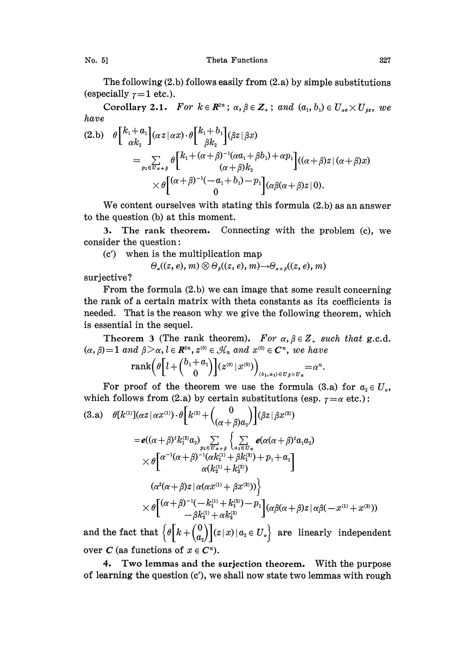No. 5] Theta Functions 327

The following  $(2.b)$  follows easily from  $(2.a)$  by simple substitutions (especially  $\gamma=1$  etc.).

Corollary 2.1. For  $k \in \mathbb{R}^{2n}$ ;  $\alpha, \beta \in \mathbb{Z}_+$ ; and  $(a_1, b_1) \in U_{\alpha} \times U_{\beta}$ , we have

$$
(2.b) \quad \theta \begin{bmatrix} k_1 + a_1 \\ \alpha k_2 \end{bmatrix} (\alpha z \mid \alpha x) \cdot \theta \begin{bmatrix} k_1 + b_1 \\ \beta k_2 \end{bmatrix} (\beta z \mid \beta x)
$$
  
= 
$$
\sum_{p_1 \in \overline{U}_{\alpha+\beta}} \theta \begin{bmatrix} k_1 + (\alpha + \beta)^{-1} (\alpha a_1 + \beta b_1) + \alpha p_1 \\ (\alpha + \beta) k_2 \end{bmatrix} ((\alpha + \beta) z \mid (\alpha + \beta) x)
$$
  

$$
\times \theta \begin{bmatrix} (\alpha + \beta)^{-1} (-a_1 + b_1) - p_1 \\ 0 \end{bmatrix} (\alpha \beta (\alpha + \beta) z \mid 0).
$$

We content ourselves with stating this formula (2.b) as an answer to the question (b) at this moment.

. The rank theorem. Connecting with the problem (c), we consider the question:

(c') when is the multiplication map

$$
\Theta_{\alpha}((z, e), m) \otimes \Theta_{\beta}((z, e), m) \rightarrow \Theta_{\alpha + \beta}((z, e), m)
$$

surjective?

From the formula (2.b) we can image that some result concerning the rank of a certain matrix with theta constants as its coefficients is needed. That is the reason why we give the following theorem, which is essential in the sequel.

Theorem 3 (The rank theorem). For  $\alpha, \beta \in Z_+$  such that g.c.d.  $(\alpha, \beta)=1$  and  $\beta > \alpha, l \in \mathbb{R}^{2n}, z^{(0)} \in \mathcal{H}_n$  and  $x^{(0)} \in \mathbb{C}^n$ , we have

$$
\operatorname{rank}\left(\theta\left[l+\binom{b_1+a_1}{0}\right](z^{(0)}\,\vert\, x^{(0)})\right)_{(b_1,a_1)\,\in\,U_\beta\times U_\alpha}=\alpha^n
$$

For proof of the theorem we use the formula (3.a) for  $a_2 \in U_a$ , which follows from (2.a) by certain substitutions (esp.  $\gamma = \alpha$  etc.):

$$
(3. a) \quad \theta[k^{(1)}](\alpha z \mid \alpha x^{(1)}) \cdot \theta[k^{(2)} + {0 \choose (\alpha + \beta)a_2}] (\beta z \mid \beta x^{(2)})
$$
\n
$$
= e((\alpha + \beta)^i k_1^{(2)} a_2) \sum_{p_1 \in \overline{U}_{\alpha + \beta}} \left\{ \sum_{a_1 \in U_{\alpha}} e(\alpha(\alpha + \beta)^t a_1 a_2) \right\}
$$
\n
$$
\times \theta\left[\alpha^{-1}(\alpha + \beta)^{-1}(\alpha k_1^{(1)} + \beta k_1^{(2)}) + p_1 + a_1\right]
$$
\n
$$
(\alpha^2(\alpha + \beta)z \mid \alpha(\alpha x^{(1)} + \beta x^{(2)}))\right\}
$$
\n
$$
\times \theta\left[\alpha + \beta^{-1}(-k_1^{(1)} + k_1^{(2)}) - p_1\right](\alpha \beta(\alpha + \beta)z \mid \alpha \beta(-x^{(1)} + x^{(2)}))
$$
\n
$$
= \beta k_2^{(1)} + \alpha k_2^{(2)}
$$

and the fact that  $\left\{\theta\Big[k+\left(\begin{smallmatrix} \mathsf{U} \ a_2 \end{smallmatrix}\right)](z\,|\,x)\,|\,a_z\in U_s\right\}\,$  are linearly independent over C (as functions of  $x \in C<sup>n</sup>$ ).

4. Two lemmas and the surjection theorem. With the purpose of learning the question (c'), we shall now state two lemmas with rough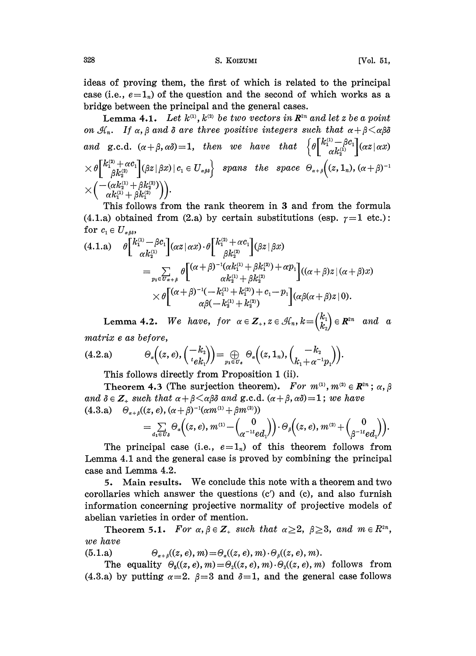328 S. KOIZUMI [Vol. 51,

ideas of proving them, the first of which is related to the principal case (i.e.,  $e=1<sub>n</sub>$ ) of the question and the second of which works as a bridge between the principal and the general cases.

Lemma 4.1. Let  $k^{(1)}$ ,  $k^{(2)}$  be two vectors in  $\mathbb{R}^{2n}$  and let z be a point on  $\mathcal{H}_n$ . If  $\alpha, \beta$  and  $\delta$  are three positive integers such that  $\alpha + \beta \leq \alpha \beta \delta$ and g.c.d.  $(\alpha+\beta, \alpha\delta)=1$ , then we have that  $\left\{\theta\begin{bmatrix}k_1^{(1)}-\beta c_1\\ \alpha k_2^{(1)}\end{bmatrix}(\alpha z|\alpha x)\right\}$  $\times\theta\Big[\frac{k_1^{(2)}+\alpha c_1}{\beta k_2^{(2)}}\Big](\beta z\,|\,\beta x)\,|\,c_1\in U_{\alpha\beta\delta}\Big\{\quad\text{spans\quadthe\quad space\quad }\Theta_{\alpha+\beta}\Big((z,1_n),(\alpha+\beta)^{-1}\Big)\Big\}.$ 

This follows from the rank theorem in 3 and from the formula (4.1.a) obtained from (2.a) by certain substitutions (esp.  $\gamma=1$  etc.): for  $c_1 \in U_{\alpha\beta\delta}$ ,

$$
(4.1.a) \quad \theta \begin{bmatrix} k_1^{(1)} - \beta c_1 \\ \alpha k_2^{(1)} \end{bmatrix} (\alpha z \mid \alpha x) \cdot \theta \begin{bmatrix} k_1^{(2)} + \alpha c_1 \\ \beta k_2^{(2)} \end{bmatrix} (\beta z \mid \beta x) \n= \sum_{p_1 \in \overline{U}_{\alpha + \beta}} \theta \begin{bmatrix} (\alpha + \beta)^{-1} (\alpha k_1^{(1)} + \beta k_1^{(2)}) + \alpha p_1 \\ \alpha k_2^{(1)} + \beta k_2^{(2)} \end{bmatrix} ((\alpha + \beta) z \mid (\alpha + \beta) x) \n\times \theta \begin{bmatrix} (\alpha + \beta)^{-1} (-k_1^{(1)} + k_1^{(2)}) + c_1 - p_1 \\ \alpha \beta (-k_2^{(1)} + k_2^{(2)}) \end{bmatrix} (\alpha \beta (\alpha + \beta) z \mid 0).
$$

L  $\alpha\beta(-k_2^{(1)}+k_2^{(2)})$  J<br>Lemma 4.2. We have, for  $\alpha \in \mathbb{Z}_+$ ,  $z \in \mathcal{H}_n$ ,  $k = \begin{pmatrix} k_1 \\ k_2 \end{pmatrix} \in \mathbb{R}^{2n}$  and  $\alpha$ matrix e as before,

$$
(4.2.a) \qquad \Theta_{\alpha}\left((z,e),\left(\frac{-k_2}{e_{k_1}}\right)\right) = \bigoplus_{p_1 \in U_e} \Theta_{\alpha}\left((z,1_n),\left(\frac{-k_2}{k_1+\alpha^{-1}p_1}\right)\right).
$$

This follows directly from Proposition 1 (ii).

Theorem 4.3 (The surjection theorem). For  $m^{(1)}$ ,  $m^{(2)} \in \mathbb{R}^{2n}$ ;  $\alpha$ ,  $\beta$ and  $\delta \in \mathbb{Z}_+$  such that  $\alpha + \beta \leq \alpha \beta \delta$  and g.c.d.  $(\alpha + \beta, \alpha \delta) = 1$ ; we have (4.3.a)  $\Theta_{\alpha+\beta}((z, e), (\alpha+\beta)^{-1}(\alpha m^{(1)} + \beta m^{(2)}))$ 

$$
\begin{array}{l}\n\displaystyle\left(z,e\right),\,\left(\alpha+p\right)\quad\left(\alpha m^{\epsilon\,\epsilon}+p m^{\epsilon\,\epsilon\,\epsilon}\right) \\
\displaystyle\qquad=\sum\limits_{a_1\in\,U_\delta}\Theta_a\Bigl((z,e),\,m^{\epsilon_1\,\epsilon}-\binom{0}{\alpha^{-1\,t}\,ed_1}\Bigr)\cdot\Theta_\beta\Bigl((z,e),\,m^{\epsilon_2\,\epsilon}+\binom{0}{\beta^{-1\,t}\,ed_1}\Bigr)\Bigr).\n\end{array}
$$

The principal case (i.e.,  $e=1<sub>n</sub>$ ) of this theorem follows from Lemma 4.1 and the general case is proved by combining the principal case and Lemma 4.2.

5. Main results. We conclude this note with <sup>a</sup> theorem and two corollaries which answer the questions  $(c')$  and  $(c)$ , and also furnish information concerning projective normality of projective models of abeliaa varieties in order of mention.

Theorem 5.1. For  $\alpha, \beta \in \mathbb{Z}_+$  such that  $\alpha \geq 2$ ,  $\beta \geq 3$ , and  $m \in R^{2n}$ , we have

(5.1.a)  $\Theta_{\alpha+\beta}((z, e), m) = \Theta_{\alpha}((z, e), m) \cdot \Theta_{\beta}((z, e), m).$ 

The equality  $\Theta_5((z, e), m) = \Theta_2((z, e), m) \cdot \Theta_3((z, e), m)$  follows from (4.3.a) by putting  $\alpha=2$ .  $\beta=3$  and  $\delta=1$ , and the general case follows